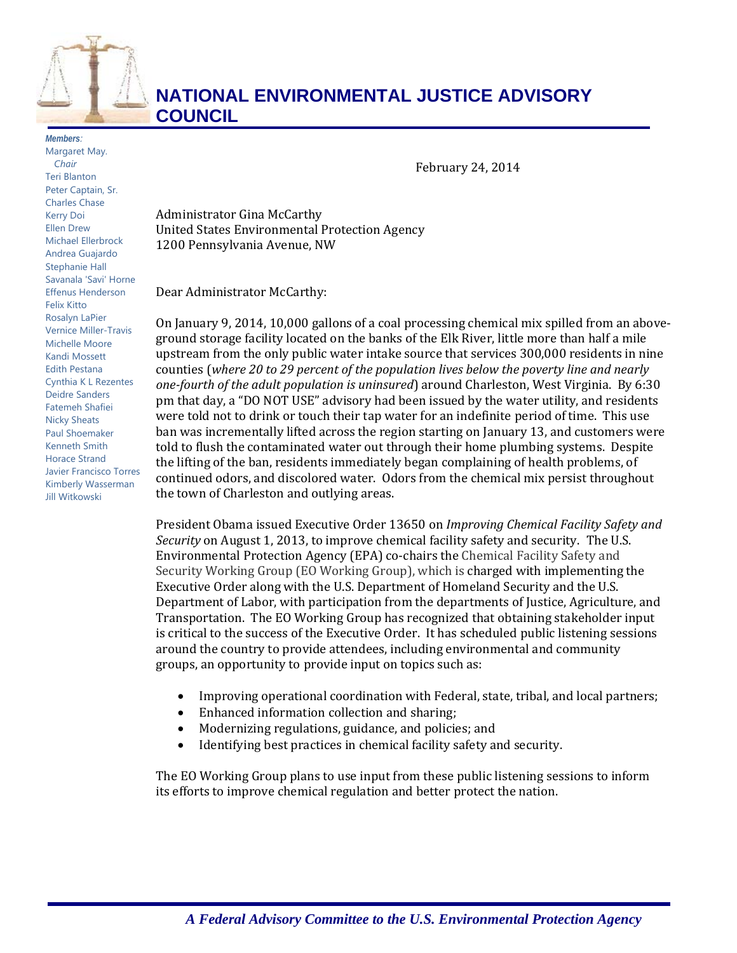

## **NATIONAL ENVIRONMENTAL JUSTICE ADVISORY COUNCIL**

*Members:*  Margaret May. *Chair* Teri Blanton Peter Captain, Sr. Charles Chase Kerry Doi Ellen Drew Michael Ellerbrock Andrea Guajardo Stephanie Hall Savanala 'Savi' Horne Effenus Henderson Felix Kitto Rosalyn LaPier Vernice Miller-Travis Michelle Moore Kandi Mossett Edith Pestana Cynthia K L Rezentes Deidre Sanders Fatemeh Shafiei Nicky Sheats Paul Shoemaker Kenneth Smith Horace Strand Javier Francisco Torres Kimberly Wasserman Jill Witkowski

 February 24, 2014

Administrator Gina McCarthy United States Environmental Protection Agency 1200 Pennsylvania Avenue, NW

Dear Administrator McCarthy:

counties (where 20 to 29 percent of the population lives below the poverty line and nearly  *one‐fourth of the adult population is uninsured*) around Charleston, West Virginia. By 6:30 pm that day, a "DO NOT USE" advisory had been issued by the water utility, and residents On January 9, 2014, 10,000 gallons of a coal processing chemical mix spilled from an aboveground storage facility located on the banks of the Elk River, little more than half a mile upstream from the only public water intake source that services  $300,000$  residents in nine were told not to drink or touch their tap water for an indefinite period of time. This use ban was incrementally lifted across the region starting on January 13, and customers were told to flush the contaminated water out through their home plumbing systems. Despite the lifting of the ban, residents immediately began complaining of health problems, of continued odors, and discolored water. Odors from the chemical mix persist throughout the town of Charleston and outlying areas.

 President Obama issued Executive Order 13650 on *Improving Chemical Facility Safety and Security* on August 1, 2013, to improve chemical facility safety and security. The U.S. Environmental Protection Agency (EPA) co-chairs the Chemical Facility Safety and Security Working Group (EO Working Group), which is charged with implementing the Executive Order along with the U.S. Department of Homeland Security and the U.S. Department of Labor, with participation from the departments of Justice, Agriculture, and Transportation. The EO Working Group has recognized that obtaining stakeholder input is critical to the success of the Executive Order. It has scheduled public listening sessions around the country to provide attendees, including environmental and community groups, an opportunity to provide input on topics such as:

- Improving operational coordination with Federal, state, tribal, and local partners;
- Enhanced information collection and sharing;
- Modernizing regulations, guidance, and policies; and
- Identifying best practices in chemical facility safety and security.

The EO Working Group plans to use input from these public listening sessions to inform its efforts to improve chemical regulation and better protect the nation.